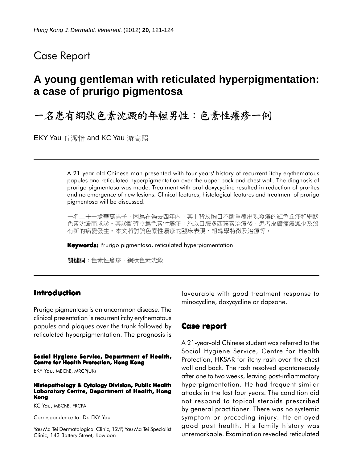# Case Report

# **A young gentleman with reticulated hyperpigmentation: a case of prurigo pigmentosa**

一名患有網狀色素沈澱的年輕男性:色素性癢疹一例

EKY Yau 丘潔怡 and KC Yau 游高照

A 21-year-old Chinese man presented with four years' history of recurrent itchy erythematous papules and reticulated hyperpigmentation over the upper back and chest wall. The diagnosis of prurigo pigmentosa was made. Treatment with oral doxycycline resulted in reduction of pruritus and no emergence of new lesions. Clinical features, histological features and treatment of prurigo pigmentosa will be discussed.

一名二十一歲華裔男子,因爲在過去四年內,其上背及胸口不斷重覆出現發癢的紅色丘疹和網狀 色素沈澱而求診。其診斷確立爲色素性癢疹;施以口服多西環素治療後,患者皮膚瘙癢減少及沒 有新的病變發生。本文將討論色素性癢疹的臨床表現、組織學特徵及治療等。

**Keywords:** Prurigo pigmentosa, reticulated hyperpigmentation

關鍵詞:色素性癢疹,網狀色素沈澱

## **Introduction**

Prurigo pigmentosa is an uncommon disease. The clinical presentation is recurrent itchy erythematous papules and plaques over the trunk followed by reticulated hyperpigmentation. The prognosis is

**Social Hygiene Service, Department of Health, Centre for Health Protection, Hong Kong**

EKY Yau, MBChB, MRCP(UK)

#### **Histopathology & Cytology Division, Public Health Laboratory Centre, Department of Health, Hong Kong**

KC Yau, MBChB, FRCPA

Correspondence to: Dr. EKY Yau

Yau Ma Tei Dermatological Clinic, 12/F, Yau Ma Tei Specialist Clinic, 143 Battery Street, Kowloon

favourable with good treatment response to minocycline, doxycycline or dapsone.

### **Case report**

A 21-year-old Chinese student was referred to the Social Hygiene Service, Centre for Health Protection, HKSAR for itchy rash over the chest wall and back. The rash resolved spontaneously after one to two weeks, leaving post-inflammatory hyperpigmentation. He had frequent similar attacks in the last four years. The condition did not respond to topical steroids prescribed by general practitioner. There was no systemic symptom or preceding injury. He enjoyed good past health. His family history was unremarkable. Examination revealed reticulated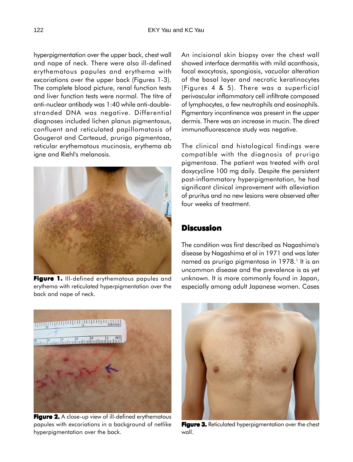hyperpigmentation over the upper back, chest wall and nape of neck. There were also ill-defined erythematous papules and erythema with excoriations over the upper back (Figures 1-3). The complete blood picture, renal function tests and liver function tests were normal. The titre of anti-nuclear antibody was 1:40 while anti-doublestranded DNA was negative. Differential diagnoses included lichen planus pigmentosus, confluent and reticulated papillomatosis of Gougerot and Carteaud, prurigo pigmentosa, reticular erythematous mucinosis, erythema ab igne and Riehl's melanosis.



**Figure 1. Figure 1.** Ill-defined erythematous papules and erythema with reticulated hyperpigmentation over the back and nape of neck.

An incisional skin biopsy over the chest wall showed interface dermatitis with mild acanthosis, focal exocytosis, spongiosis, vacuolar alteration of the basal layer and necrotic keratinocytes (Figures 4 & 5). There was a superficial perivascular inflammatory cell infiltrate composed of lymphocytes, a few neutrophils and eosinophils. Pigmentary incontinence was present in the upper dermis. There was an increase in mucin. The direct immunofluorescence study was negative.

The clinical and histological findings were compatible with the diagnosis of prurigo pigmentosa. The patient was treated with oral doxycycline 100 mg daily. Despite the persistent post-inflammatory hyperpigmentation, he had significant clinical improvement with alleviation of pruritus and no new lesions were observed after four weeks of treatment.

## **Discussion**

The condition was first described as Nagashima's disease by Nagashima et al in 1971 and was later named as prurigo pigmentosa in 1978.<sup>1</sup> It is an uncommon disease and the prevalence is as yet unknown. It is more commonly found in Japan, especially among adult Japanese women. Cases



**Figure 2. 2.** A close-up view of ill-defined erythematous papules with excoriations in a background of netlike hyperpigmentation over the back.



**Figure 3.** Reticulated hyperpigmentation over the chest wall.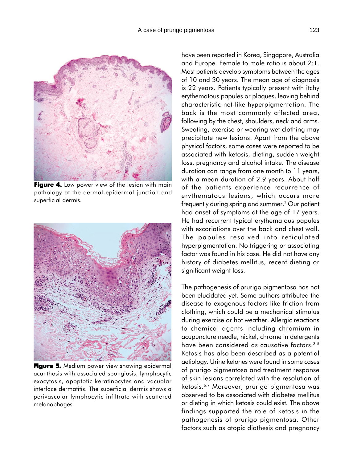

**Figure 4.** Low power view of the lesion with main pathology at the dermal-epidermal junction and superficial dermis.



**Figure 5.** Medium power view showing epidermal acanthosis with associated spongiosis, lymphocytic exocytosis, apoptotic keratinocytes and vacuolar interface dermatitis. The superficial dermis shows a perivascular lymphocytic infiltrate with scattered melanophages.

have been reported in Korea, Singapore, Australia and Europe. Female to male ratio is about 2:1. Most patients develop symptoms between the ages of 10 and 30 years. The mean age of diagnosis is 22 years. Patients typically present with itchy erythematous papules or plaques, leaving behind characteristic net-like hyperpigmentation. The back is the most commonly affected area, following by the chest, shoulders, neck and arms. Sweating, exercise or wearing wet clothing may precipitate new lesions. Apart from the above physical factors, some cases were reported to be associated with ketosis, dieting, sudden weight loss, pregnancy and alcohol intake. The disease duration can range from one month to 11 years, with a mean duration of 2.9 years. About half of the patients experience recurrence of erythematous lesions, which occurs more frequently during spring and summer.2 Our patient had onset of symptoms at the age of 17 years. He had recurrent typical erythematous papules with excoriations over the back and chest wall. The papules resolved into reticulated hyperpigmentation. No triggering or associating factor was found in his case. He did not have any history of diabetes mellitus, recent dieting or significant weight loss.

The pathogenesis of prurigo pigmentosa has not been elucidated yet. Some authors attributed the disease to exogenous factors like friction from clothing, which could be a mechanical stimulus during exercise or hot weather. Allergic reactions to chemical agents including chromium in acupuncture needle, nickel, chrome in detergents have been considered as causative factors.<sup>3-5</sup> Ketosis has also been described as a potential aetiology. Urine ketones were found in some cases of prurigo pigmentosa and treatment response of skin lesions correlated with the resolution of ketosis.6,7 Moreover, prurigo pigmentosa was observed to be associated with diabetes mellitus or dieting in which ketosis could exist. The above findings supported the role of ketosis in the pathogenesis of prurigo pigmentosa. Other factors such as atopic diathesis and pregnancy